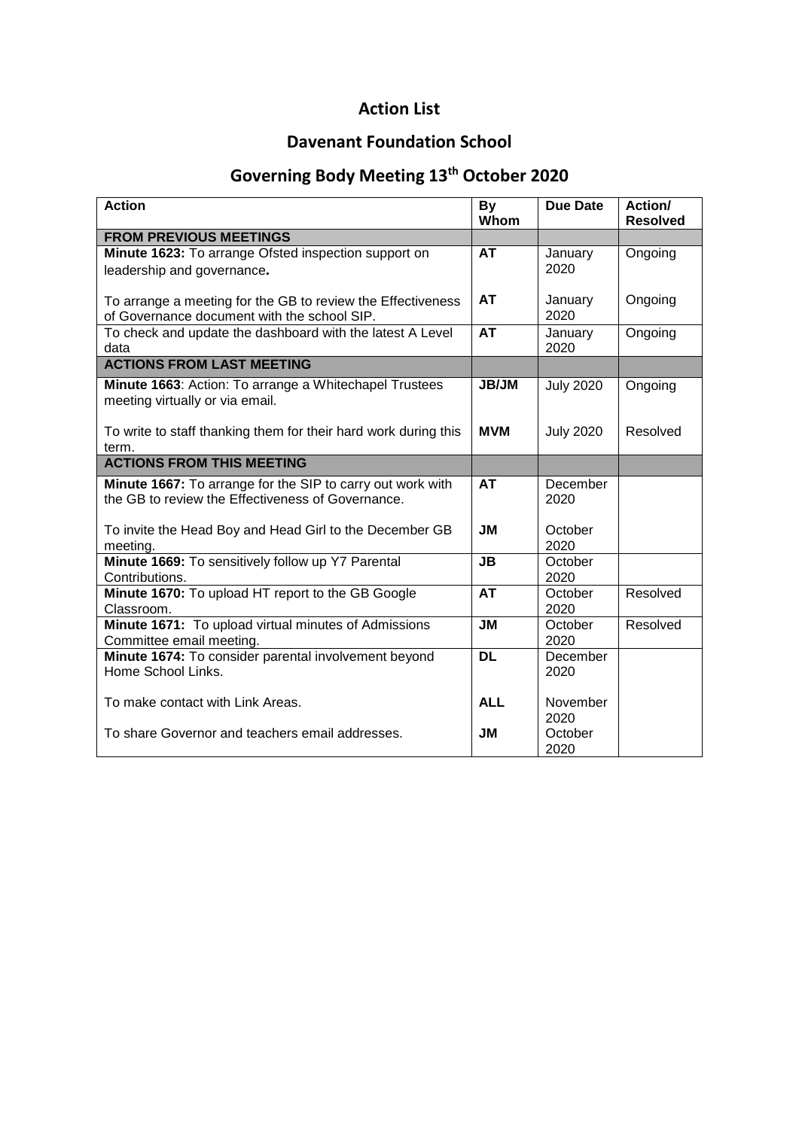# **Action List**

# **Davenant Foundation School**

# **Governing Body Meeting 13th October 2020**

| <b>Action</b>                                                   | <b>By</b><br>Whom | <b>Due Date</b>  | Action/<br><b>Resolved</b> |
|-----------------------------------------------------------------|-------------------|------------------|----------------------------|
| <b>FROM PREVIOUS MEETINGS</b>                                   |                   |                  |                            |
| Minute 1623: To arrange Ofsted inspection support on            | <b>AT</b>         | January          | Ongoing                    |
| leadership and governance.                                      |                   | 2020             |                            |
|                                                                 |                   |                  |                            |
| To arrange a meeting for the GB to review the Effectiveness     | <b>AT</b>         | January          | Ongoing                    |
| of Governance document with the school SIP.                     |                   | 2020             |                            |
| To check and update the dashboard with the latest A Level       | <b>AT</b>         | January          | Ongoing                    |
| data                                                            |                   | 2020             |                            |
| <b>ACTIONS FROM LAST MEETING</b>                                |                   |                  |                            |
| Minute 1663: Action: To arrange a Whitechapel Trustees          | <b>JB/JM</b>      | <b>July 2020</b> | Ongoing                    |
| meeting virtually or via email.                                 |                   |                  |                            |
|                                                                 |                   |                  |                            |
| To write to staff thanking them for their hard work during this | <b>MVM</b>        | <b>July 2020</b> | Resolved                   |
| term.                                                           |                   |                  |                            |
| <b>ACTIONS FROM THIS MEETING</b>                                |                   |                  |                            |
| Minute 1667: To arrange for the SIP to carry out work with      | <b>AT</b>         | December         |                            |
| the GB to review the Effectiveness of Governance.               |                   | 2020             |                            |
|                                                                 |                   |                  |                            |
| To invite the Head Boy and Head Girl to the December GB         | <b>JM</b>         | October          |                            |
| meeting.<br>Minute 1669: To sensitively follow up Y7 Parental   | <b>JB</b>         | 2020<br>October  |                            |
| Contributions.                                                  |                   | 2020             |                            |
| Minute 1670: To upload HT report to the GB Google               | <b>AT</b>         | October          | Resolved                   |
| Classroom.                                                      |                   | 2020             |                            |
| Minute 1671: To upload virtual minutes of Admissions            | <b>JM</b>         | October          | Resolved                   |
| Committee email meeting.                                        |                   | 2020             |                            |
| Minute 1674: To consider parental involvement beyond            | <b>DL</b>         | December         |                            |
| Home School Links.                                              |                   | 2020             |                            |
|                                                                 |                   |                  |                            |
| To make contact with Link Areas.                                | <b>ALL</b>        | November         |                            |
|                                                                 |                   | 2020             |                            |
| To share Governor and teachers email addresses.                 | <b>JM</b>         | October          |                            |
|                                                                 |                   | 2020             |                            |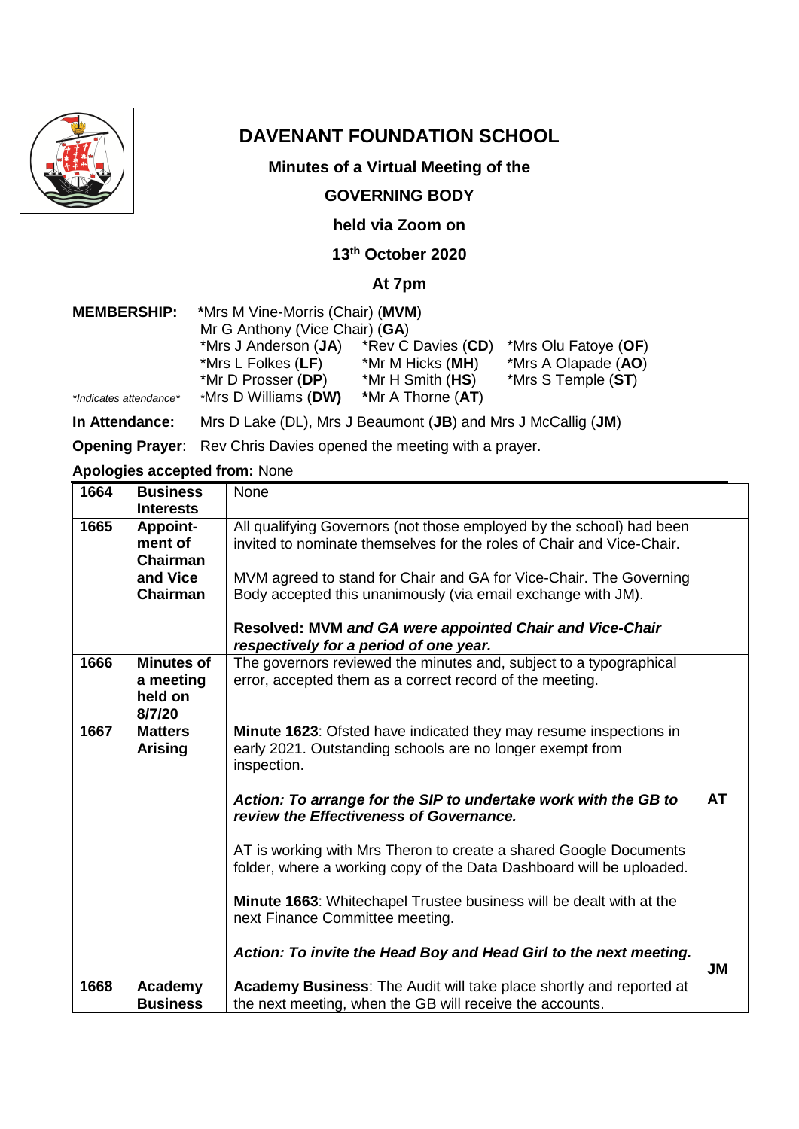

# **DAVENANT FOUNDATION SCHOOL**

#### **Minutes of a Virtual Meeting of the**

#### **GOVERNING BODY**

#### **held via Zoom on**

### **13th October 2020**

#### **At 7pm**

| <b>MEMBERSHIP:</b>     | *Mrs M Vine-Morris (Chair) (MVM) |                    |                      |
|------------------------|----------------------------------|--------------------|----------------------|
|                        | Mr G Anthony (Vice Chair) (GA)   |                    |                      |
|                        | *Mrs J Anderson (JA)             | *Rev C Davies (CD) | *Mrs Olu Fatoye (OF) |
|                        | *Mrs L Folkes $(LF)$             | *Mr M Hicks (MH)   | *Mrs A Olapade (AO)  |
|                        | *Mr D Prosser (DP)               | *Mr H Smith (HS)   | *Mrs S Temple (ST)   |
| *Indicates attendance* | *Mrs D Williams (DW)             | *Mr A Thorne (AT)  |                      |
|                        |                                  |                    |                      |

**In Attendance:** Mrs D Lake (DL), Mrs J Beaumont (**JB**) and Mrs J McCallig (**JM**)

**Opening Prayer**: Rev Chris Davies opened the meeting with a prayer.

**Apologies accepted from:** None

| 1664              | <b>Business</b>   | None                                                                  |    |
|-------------------|-------------------|-----------------------------------------------------------------------|----|
|                   | <b>Interests</b>  |                                                                       |    |
| 1665              | <b>Appoint-</b>   | All qualifying Governors (not those employed by the school) had been  |    |
|                   | ment of           | invited to nominate themselves for the roles of Chair and Vice-Chair. |    |
|                   | <b>Chairman</b>   |                                                                       |    |
|                   | and Vice          | MVM agreed to stand for Chair and GA for Vice-Chair. The Governing    |    |
|                   | <b>Chairman</b>   | Body accepted this unanimously (via email exchange with JM).          |    |
|                   |                   |                                                                       |    |
|                   |                   | Resolved: MVM and GA were appointed Chair and Vice-Chair              |    |
|                   |                   | respectively for a period of one year.                                |    |
| 1666              | <b>Minutes of</b> | The governors reviewed the minutes and, subject to a typographical    |    |
|                   | a meeting         | error, accepted them as a correct record of the meeting.              |    |
|                   | held on           |                                                                       |    |
|                   | 8/7/20            |                                                                       |    |
| $166\overline{7}$ | <b>Matters</b>    | Minute 1623: Ofsted have indicated they may resume inspections in     |    |
|                   | <b>Arising</b>    | early 2021. Outstanding schools are no longer exempt from             |    |
|                   |                   | inspection.                                                           |    |
|                   |                   |                                                                       |    |
|                   |                   | Action: To arrange for the SIP to undertake work with the GB to       | AT |
|                   |                   | review the Effectiveness of Governance.                               |    |
|                   |                   | AT is working with Mrs Theron to create a shared Google Documents     |    |
|                   |                   | folder, where a working copy of the Data Dashboard will be uploaded.  |    |
|                   |                   |                                                                       |    |
|                   |                   | Minute 1663: Whitechapel Trustee business will be dealt with at the   |    |
|                   |                   | next Finance Committee meeting.                                       |    |
|                   |                   |                                                                       |    |
|                   |                   | Action: To invite the Head Boy and Head Girl to the next meeting.     |    |
|                   |                   |                                                                       | JM |
| 1668              | Academy           | Academy Business: The Audit will take place shortly and reported at   |    |
|                   | <b>Business</b>   | the next meeting, when the GB will receive the accounts.              |    |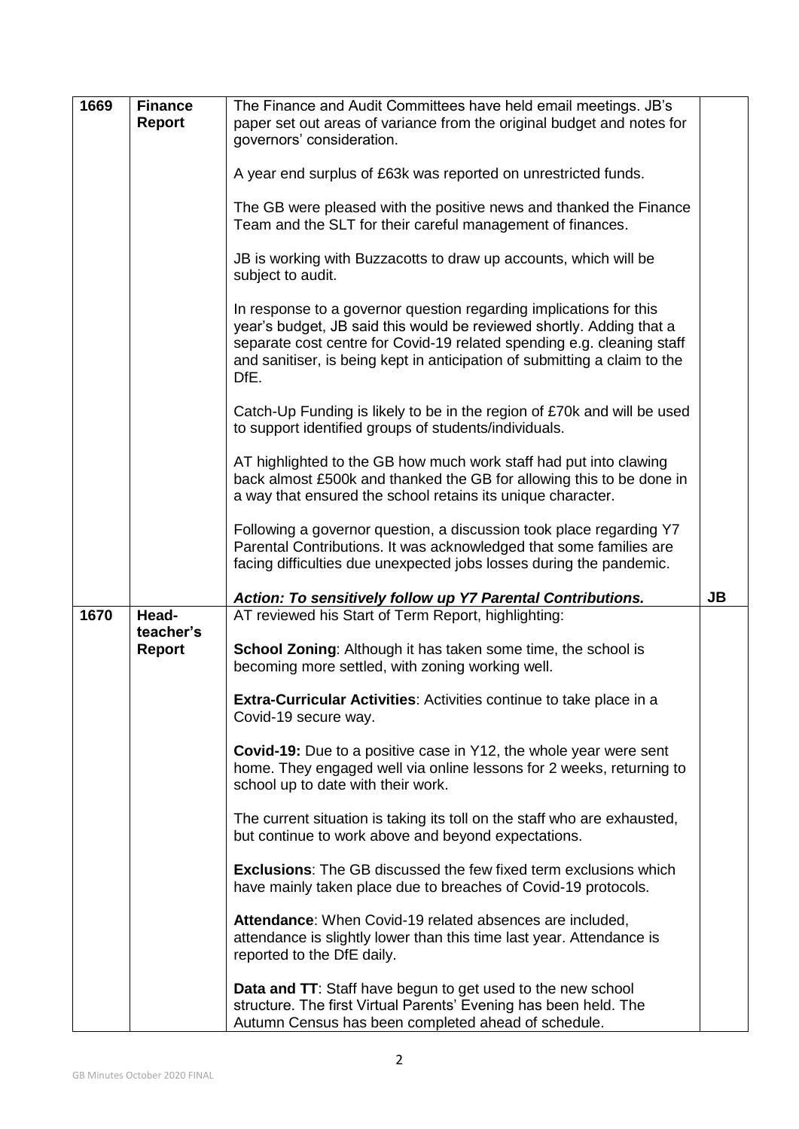| 1669 | <b>Finance</b><br><b>Report</b> | The Finance and Audit Committees have held email meetings. JB's<br>paper set out areas of variance from the original budget and notes for<br>governors' consideration.                                                                                                                                    |           |
|------|---------------------------------|-----------------------------------------------------------------------------------------------------------------------------------------------------------------------------------------------------------------------------------------------------------------------------------------------------------|-----------|
|      |                                 | A year end surplus of £63k was reported on unrestricted funds.                                                                                                                                                                                                                                            |           |
|      |                                 | The GB were pleased with the positive news and thanked the Finance<br>Team and the SLT for their careful management of finances.                                                                                                                                                                          |           |
|      |                                 | JB is working with Buzzacotts to draw up accounts, which will be<br>subject to audit.                                                                                                                                                                                                                     |           |
|      |                                 | In response to a governor question regarding implications for this<br>year's budget, JB said this would be reviewed shortly. Adding that a<br>separate cost centre for Covid-19 related spending e.g. cleaning staff<br>and sanitiser, is being kept in anticipation of submitting a claim to the<br>DfE. |           |
|      |                                 | Catch-Up Funding is likely to be in the region of £70k and will be used<br>to support identified groups of students/individuals.                                                                                                                                                                          |           |
|      |                                 | AT highlighted to the GB how much work staff had put into clawing<br>back almost £500k and thanked the GB for allowing this to be done in<br>a way that ensured the school retains its unique character.                                                                                                  |           |
|      |                                 | Following a governor question, a discussion took place regarding Y7<br>Parental Contributions. It was acknowledged that some families are<br>facing difficulties due unexpected jobs losses during the pandemic.                                                                                          |           |
|      |                                 | Action: To sensitively follow up Y7 Parental Contributions.                                                                                                                                                                                                                                               | <b>JB</b> |
| 1670 | Head-<br>teacher's              | AT reviewed his Start of Term Report, highlighting:                                                                                                                                                                                                                                                       |           |
|      | <b>Report</b>                   | <b>School Zoning:</b> Although it has taken some time, the school is<br>becoming more settled, with zoning working well.                                                                                                                                                                                  |           |
|      |                                 | Extra-Curricular Activities: Activities continue to take place in a<br>Covid-19 secure way.                                                                                                                                                                                                               |           |
|      |                                 | <b>Covid-19:</b> Due to a positive case in Y12, the whole year were sent<br>home. They engaged well via online lessons for 2 weeks, returning to<br>school up to date with their work.                                                                                                                    |           |
|      |                                 | The current situation is taking its toll on the staff who are exhausted,<br>but continue to work above and beyond expectations.                                                                                                                                                                           |           |
|      |                                 | <b>Exclusions:</b> The GB discussed the few fixed term exclusions which<br>have mainly taken place due to breaches of Covid-19 protocols.                                                                                                                                                                 |           |
|      |                                 | Attendance: When Covid-19 related absences are included,<br>attendance is slightly lower than this time last year. Attendance is<br>reported to the DfE daily.                                                                                                                                            |           |
|      |                                 | <b>Data and TT:</b> Staff have begun to get used to the new school<br>structure. The first Virtual Parents' Evening has been held. The<br>Autumn Census has been completed ahead of schedule.                                                                                                             |           |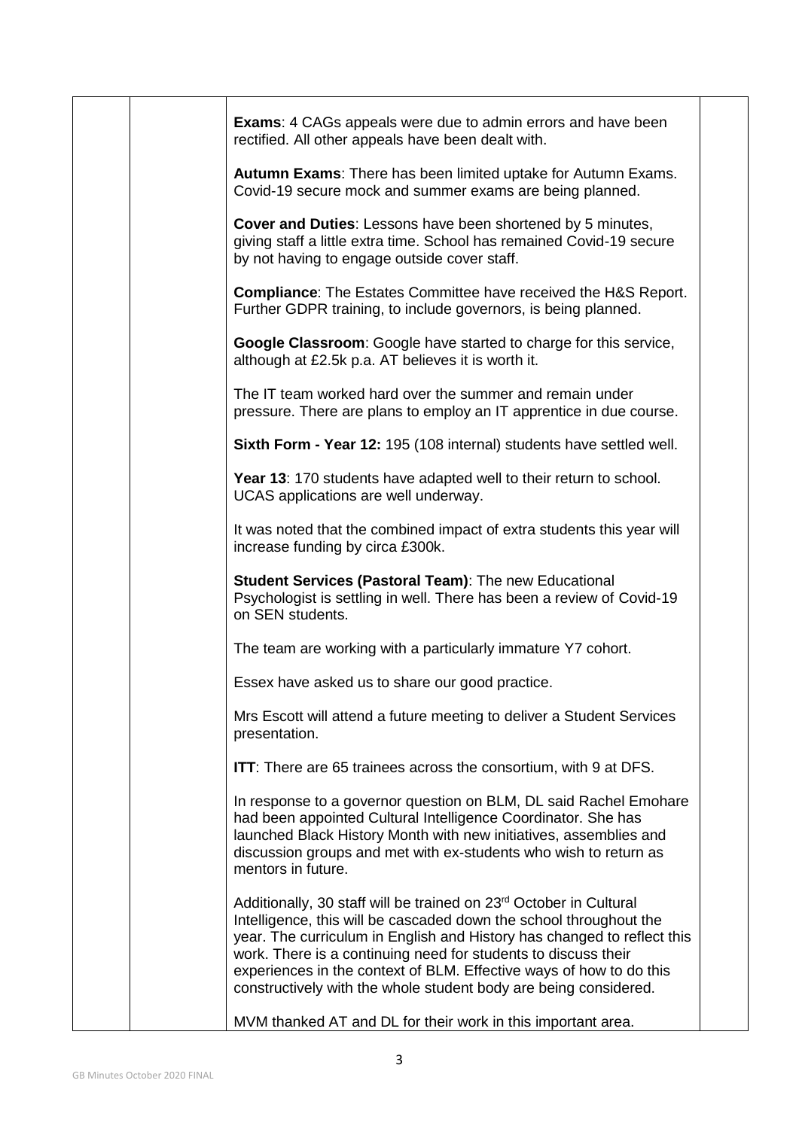|  | <b>Exams:</b> 4 CAGs appeals were due to admin errors and have been<br>rectified. All other appeals have been dealt with.                                                                                                                                                                                                                                                                                                                    |  |
|--|----------------------------------------------------------------------------------------------------------------------------------------------------------------------------------------------------------------------------------------------------------------------------------------------------------------------------------------------------------------------------------------------------------------------------------------------|--|
|  | Autumn Exams: There has been limited uptake for Autumn Exams.<br>Covid-19 secure mock and summer exams are being planned.                                                                                                                                                                                                                                                                                                                    |  |
|  | Cover and Duties: Lessons have been shortened by 5 minutes,<br>giving staff a little extra time. School has remained Covid-19 secure<br>by not having to engage outside cover staff.                                                                                                                                                                                                                                                         |  |
|  | <b>Compliance:</b> The Estates Committee have received the H&S Report.<br>Further GDPR training, to include governors, is being planned.                                                                                                                                                                                                                                                                                                     |  |
|  | Google Classroom: Google have started to charge for this service,<br>although at £2.5k p.a. AT believes it is worth it.                                                                                                                                                                                                                                                                                                                      |  |
|  | The IT team worked hard over the summer and remain under<br>pressure. There are plans to employ an IT apprentice in due course.                                                                                                                                                                                                                                                                                                              |  |
|  | Sixth Form - Year 12: 195 (108 internal) students have settled well.                                                                                                                                                                                                                                                                                                                                                                         |  |
|  | Year 13: 170 students have adapted well to their return to school.<br>UCAS applications are well underway.                                                                                                                                                                                                                                                                                                                                   |  |
|  | It was noted that the combined impact of extra students this year will<br>increase funding by circa £300k.                                                                                                                                                                                                                                                                                                                                   |  |
|  | <b>Student Services (Pastoral Team): The new Educational</b><br>Psychologist is settling in well. There has been a review of Covid-19<br>on SEN students.                                                                                                                                                                                                                                                                                    |  |
|  | The team are working with a particularly immature Y7 cohort.                                                                                                                                                                                                                                                                                                                                                                                 |  |
|  | Essex have asked us to share our good practice.                                                                                                                                                                                                                                                                                                                                                                                              |  |
|  | Mrs Escott will attend a future meeting to deliver a Student Services<br>presentation.                                                                                                                                                                                                                                                                                                                                                       |  |
|  | <b>ITT:</b> There are 65 trainees across the consortium, with 9 at DFS.                                                                                                                                                                                                                                                                                                                                                                      |  |
|  | In response to a governor question on BLM, DL said Rachel Emohare<br>had been appointed Cultural Intelligence Coordinator. She has<br>launched Black History Month with new initiatives, assemblies and<br>discussion groups and met with ex-students who wish to return as<br>mentors in future.                                                                                                                                            |  |
|  | Additionally, 30 staff will be trained on 23 <sup>rd</sup> October in Cultural<br>Intelligence, this will be cascaded down the school throughout the<br>year. The curriculum in English and History has changed to reflect this<br>work. There is a continuing need for students to discuss their<br>experiences in the context of BLM. Effective ways of how to do this<br>constructively with the whole student body are being considered. |  |
|  | MVM thanked AT and DL for their work in this important area.                                                                                                                                                                                                                                                                                                                                                                                 |  |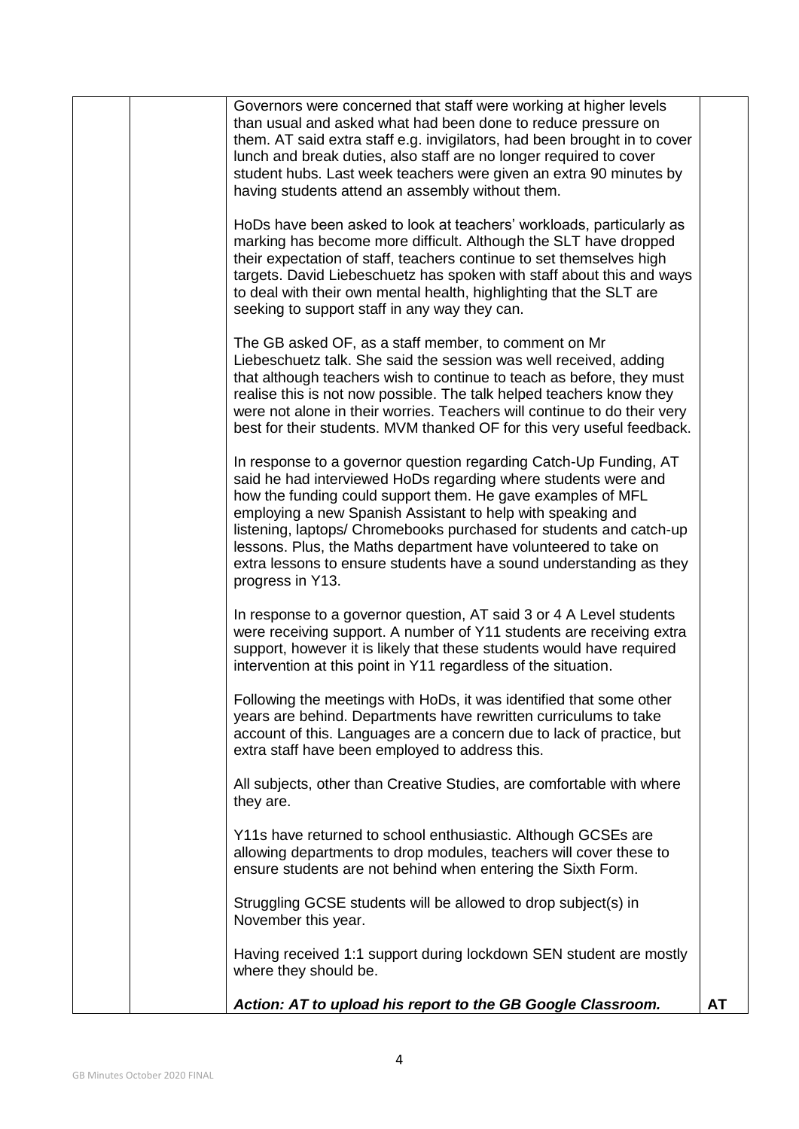|  | Governors were concerned that staff were working at higher levels<br>than usual and asked what had been done to reduce pressure on<br>them. AT said extra staff e.g. invigilators, had been brought in to cover<br>lunch and break duties, also staff are no longer required to cover<br>student hubs. Last week teachers were given an extra 90 minutes by<br>having students attend an assembly without them.                                                                                        |           |
|--|--------------------------------------------------------------------------------------------------------------------------------------------------------------------------------------------------------------------------------------------------------------------------------------------------------------------------------------------------------------------------------------------------------------------------------------------------------------------------------------------------------|-----------|
|  | HoDs have been asked to look at teachers' workloads, particularly as<br>marking has become more difficult. Although the SLT have dropped<br>their expectation of staff, teachers continue to set themselves high<br>targets. David Liebeschuetz has spoken with staff about this and ways<br>to deal with their own mental health, highlighting that the SLT are<br>seeking to support staff in any way they can.                                                                                      |           |
|  | The GB asked OF, as a staff member, to comment on Mr<br>Liebeschuetz talk. She said the session was well received, adding<br>that although teachers wish to continue to teach as before, they must<br>realise this is not now possible. The talk helped teachers know they<br>were not alone in their worries. Teachers will continue to do their very<br>best for their students. MVM thanked OF for this very useful feedback.                                                                       |           |
|  | In response to a governor question regarding Catch-Up Funding, AT<br>said he had interviewed HoDs regarding where students were and<br>how the funding could support them. He gave examples of MFL<br>employing a new Spanish Assistant to help with speaking and<br>listening, laptops/ Chromebooks purchased for students and catch-up<br>lessons. Plus, the Maths department have volunteered to take on<br>extra lessons to ensure students have a sound understanding as they<br>progress in Y13. |           |
|  | In response to a governor question, AT said 3 or 4 A Level students<br>were receiving support. A number of Y11 students are receiving extra<br>support, however it is likely that these students would have required<br>intervention at this point in Y11 regardless of the situation.                                                                                                                                                                                                                 |           |
|  | Following the meetings with HoDs, it was identified that some other<br>years are behind. Departments have rewritten curriculums to take<br>account of this. Languages are a concern due to lack of practice, but<br>extra staff have been employed to address this.                                                                                                                                                                                                                                    |           |
|  | All subjects, other than Creative Studies, are comfortable with where<br>they are.                                                                                                                                                                                                                                                                                                                                                                                                                     |           |
|  | Y11s have returned to school enthusiastic. Although GCSEs are<br>allowing departments to drop modules, teachers will cover these to<br>ensure students are not behind when entering the Sixth Form.                                                                                                                                                                                                                                                                                                    |           |
|  | Struggling GCSE students will be allowed to drop subject(s) in<br>November this year.                                                                                                                                                                                                                                                                                                                                                                                                                  |           |
|  | Having received 1:1 support during lockdown SEN student are mostly<br>where they should be.                                                                                                                                                                                                                                                                                                                                                                                                            |           |
|  | Action: AT to upload his report to the GB Google Classroom.                                                                                                                                                                                                                                                                                                                                                                                                                                            | <b>AT</b> |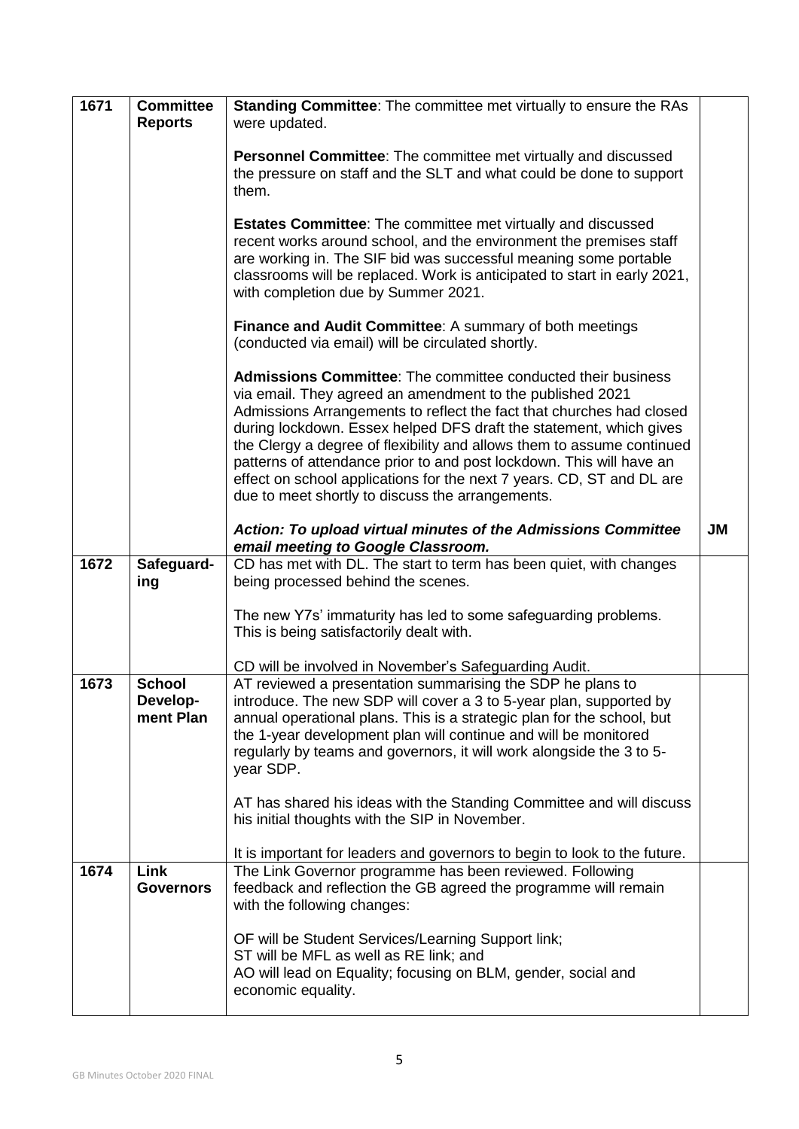| 1671 | <b>Committee</b><br><b>Reports</b>     | <b>Standing Committee:</b> The committee met virtually to ensure the RAs<br>were updated.                                                                                                                                                                                                                                                                                                                                                                                                                                                                     |           |
|------|----------------------------------------|---------------------------------------------------------------------------------------------------------------------------------------------------------------------------------------------------------------------------------------------------------------------------------------------------------------------------------------------------------------------------------------------------------------------------------------------------------------------------------------------------------------------------------------------------------------|-----------|
|      |                                        | Personnel Committee: The committee met virtually and discussed<br>the pressure on staff and the SLT and what could be done to support<br>them.                                                                                                                                                                                                                                                                                                                                                                                                                |           |
|      |                                        | <b>Estates Committee:</b> The committee met virtually and discussed<br>recent works around school, and the environment the premises staff<br>are working in. The SIF bid was successful meaning some portable<br>classrooms will be replaced. Work is anticipated to start in early 2021,<br>with completion due by Summer 2021.                                                                                                                                                                                                                              |           |
|      |                                        | <b>Finance and Audit Committee: A summary of both meetings</b><br>(conducted via email) will be circulated shortly.                                                                                                                                                                                                                                                                                                                                                                                                                                           |           |
|      |                                        | <b>Admissions Committee:</b> The committee conducted their business<br>via email. They agreed an amendment to the published 2021<br>Admissions Arrangements to reflect the fact that churches had closed<br>during lockdown. Essex helped DFS draft the statement, which gives<br>the Clergy a degree of flexibility and allows them to assume continued<br>patterns of attendance prior to and post lockdown. This will have an<br>effect on school applications for the next 7 years. CD, ST and DL are<br>due to meet shortly to discuss the arrangements. |           |
|      |                                        | Action: To upload virtual minutes of the Admissions Committee<br>email meeting to Google Classroom.                                                                                                                                                                                                                                                                                                                                                                                                                                                           | <b>JM</b> |
| 1672 | Safeguard-<br>ing                      | CD has met with DL. The start to term has been quiet, with changes<br>being processed behind the scenes.                                                                                                                                                                                                                                                                                                                                                                                                                                                      |           |
|      |                                        | The new Y7s' immaturity has led to some safeguarding problems.<br>This is being satisfactorily dealt with.                                                                                                                                                                                                                                                                                                                                                                                                                                                    |           |
|      |                                        | CD will be involved in November's Safeguarding Audit.                                                                                                                                                                                                                                                                                                                                                                                                                                                                                                         |           |
| 1673 | <b>School</b><br>Develop-<br>ment Plan | AT reviewed a presentation summarising the SDP he plans to<br>introduce. The new SDP will cover a 3 to 5-year plan, supported by<br>annual operational plans. This is a strategic plan for the school, but<br>the 1-year development plan will continue and will be monitored<br>regularly by teams and governors, it will work alongside the 3 to 5-<br>year SDP.                                                                                                                                                                                            |           |
|      |                                        | AT has shared his ideas with the Standing Committee and will discuss<br>his initial thoughts with the SIP in November.                                                                                                                                                                                                                                                                                                                                                                                                                                        |           |
|      |                                        | It is important for leaders and governors to begin to look to the future.                                                                                                                                                                                                                                                                                                                                                                                                                                                                                     |           |
| 1674 | Link<br><b>Governors</b>               | The Link Governor programme has been reviewed. Following<br>feedback and reflection the GB agreed the programme will remain<br>with the following changes:                                                                                                                                                                                                                                                                                                                                                                                                    |           |
|      |                                        | OF will be Student Services/Learning Support link;<br>ST will be MFL as well as RE link; and<br>AO will lead on Equality; focusing on BLM, gender, social and<br>economic equality.                                                                                                                                                                                                                                                                                                                                                                           |           |